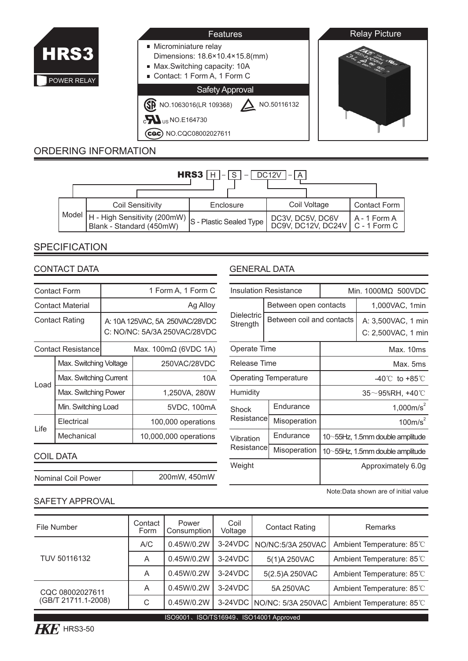

### **Microminiature relay** Dimensions: 18.6×10.4×15.8(mm) Max.Switching capacity: 10A Contact: 1 Form A, 1 Form C Features

Safety Approval

NO.1063016(LR 109368) NO.50116132  $c$  U<sub>US</sub> NO.E164730

Cac) NO.CQC08002027611

# ORDERING INFORMATION



## **SPECIFICATION**

### CONTACT DATA

| Contact Form              |                        | 1 Form A, 1 Form C                                             |                       |  |  |
|---------------------------|------------------------|----------------------------------------------------------------|-----------------------|--|--|
| <b>Contact Material</b>   |                        | Ag Alloy                                                       |                       |  |  |
| <b>Contact Rating</b>     |                        | A: 10A 125VAC, 5A 250VAC/28VDC<br>C: NO/NC: 5A/3A 250VAC/28VDC |                       |  |  |
| <b>Contact Resistance</b> |                        | Max. 100mΩ (6VDC 1A)                                           |                       |  |  |
| Load                      | Max. Switching Voltage |                                                                | 250VAC/28VDC          |  |  |
|                           | Max. Switching Current |                                                                | 10A                   |  |  |
|                           | Max. Switching Power   |                                                                | 1,250VA, 280W         |  |  |
|                           | Min. Switching Load    |                                                                | 5VDC, 100mA           |  |  |
| l ife                     | Electrical             |                                                                | 100,000 operations    |  |  |
|                           | Mechanical             |                                                                | 10,000,000 operations |  |  |

### COIL DATA

| Nominal Coil Power | 200mW, 450mW |
|--------------------|--------------|

|                              | <b>Insulation Resistance</b> | Min. 1000ΜΩ 500VDC                       |                |  |  |
|------------------------------|------------------------------|------------------------------------------|----------------|--|--|
| Dielectric<br>Strength       | Between open contacts        |                                          | 1,000VAC, 1min |  |  |
|                              | Between coil and contacts    | A: 3,500VAC, 1 min<br>C: 2,500VAC, 1 min |                |  |  |
| Operate Time                 |                              | Max. 10ms                                |                |  |  |
| Release Time                 |                              | Max. 5ms                                 |                |  |  |
| <b>Operating Temperature</b> |                              | $-40^{\circ}$ C to $+85^{\circ}$ C       |                |  |  |
| Humidity                     |                              | 35~95%RH. +40℃                           |                |  |  |
| Shock<br>Resistancel         | Endurance                    | $1,000m/s^2$                             |                |  |  |
|                              | Misoperation                 | 100m/s <sup>2</sup>                      |                |  |  |
| Vibration<br>Resistancel     | Endurance                    | 10~55Hz, 1.5mm double amplitude          |                |  |  |
|                              | Misoperation                 | 10~55Hz, 1.5mm double amplitude          |                |  |  |
| Weight                       |                              | Approximately 6.0q                       |                |  |  |
|                              |                              |                                          |                |  |  |

Note:Data shown are of initial value

**Relay Picture** 

### SAFETY APPROVAL

| File Number         | Contact<br>Form | Power<br>Consumption | Coil<br>Voltage | <b>Contact Rating</b>      | Remarks                   |
|---------------------|-----------------|----------------------|-----------------|----------------------------|---------------------------|
|                     | A/C             | 0.45W/0.2W           | 3-24VDC         | NO/NC:5/3A 250VAC          | Ambient Temperature: 85°C |
| TUV 50116132        | A               | 0.45W/0.2W           | $3-24VDC$       | 5(1)A 250VAC               | Ambient Temperature: 85°C |
|                     | A               | 0.45W/0.2W           | $3-24VDC$       | 5(2.5) A 250 VAC           | Ambient Temperature: 85°C |
| CQC 08002027611     | A               | 0.45W/0.2W           | $3-24VDC$       | 5A 250VAC                  | Ambient Temperature: 85°C |
| (GB/T 21711.1-2008) | C               | 0.45W/0.2W           |                 | 3-24VDC NO/NC: 5/3A 250VAC | Ambient Temperature: 85°C |
|                     |                 |                      |                 |                            |                           |



ISO9001、ISO/TS16949、ISO14001 Approved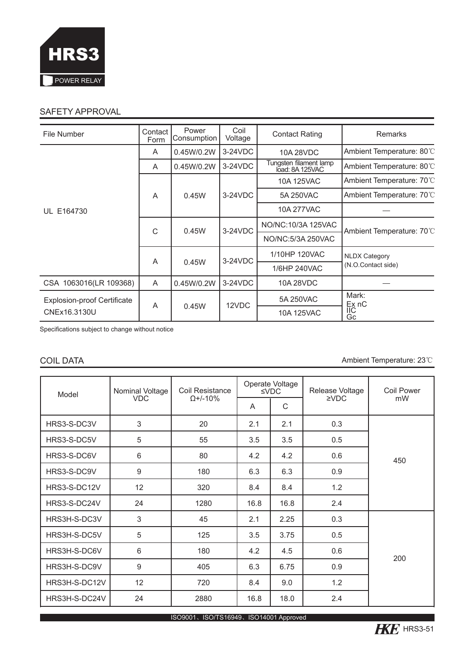

## SAFETY APPROVAL

| File Number                        | Contact<br>Form | Power<br>Consumption | Coil<br>Voltage | <b>Contact Rating</b>                     | <b>Remarks</b>                                                          |  |
|------------------------------------|-----------------|----------------------|-----------------|-------------------------------------------|-------------------------------------------------------------------------|--|
|                                    | A               | 0.45W/0.2W           | $3-24VDC$       | 10A 28VDC                                 | Ambient Temperature: 80°C                                               |  |
|                                    | A               | 0.45W/0.2W           | 3-24VDC         | Tungsten filament lamp<br>load: 8A 125VAC | Ambient Temperature: 80°C                                               |  |
|                                    |                 | 0.45W                | $3-24VDC$       | 10A 125VAC                                | Ambient Temperature: 70°C                                               |  |
|                                    | A               |                      |                 | 5A 250VAC                                 | Ambient Temperature: 70°C                                               |  |
| UL E164730                         |                 |                      |                 | 10A 277VAC                                |                                                                         |  |
|                                    | C               | 0.45W                | $3-24VDC$       | NO/NC: 10/3A 125VAC                       | Ambient Temperature: 70°C<br><b>NLDX Category</b><br>(N.O.Contact side) |  |
|                                    |                 |                      |                 | NO/NC:5/3A 250VAC                         |                                                                         |  |
|                                    |                 | 0.45W                | 3-24VDC         | 1/10HP 120VAC                             |                                                                         |  |
|                                    | A               |                      |                 | 1/6HP 240VAC                              |                                                                         |  |
| CSA 1063016(LR 109368)             | A               | 0.45W/0.2W           | $3-24VDC$       | 10A 28VDC                                 |                                                                         |  |
| <b>Explosion-proof Certificate</b> | A               | 0.45W                | 12VDC           | 5A 250VAC                                 | Mark:<br>Ex nC                                                          |  |
| CNEx16.3130U                       |                 |                      |                 | 10A 125VAC                                | IIС<br>Gc                                                               |  |

Specifications subject to change without notice

COIL DATA **Ambient Temperature: 23**℃

| Model             | Nominal Voltage | Coil Resistance | Operate Voltage<br>$\le$ VDC |      | Release Voltage | Coil Power |
|-------------------|-----------------|-----------------|------------------------------|------|-----------------|------------|
|                   | <b>VDC</b>      | $Q+/-10%$       | A                            | C    | $\Sigma$ VDC    | mW         |
| HRS3-S-DC3V       | 3               | 20              | 2.1                          | 2.1  | 0.3             |            |
| HRS3-S-DC5V       | 5               | 55              | 3.5                          | 3.5  | 0.5             |            |
| HRS3-S-DC6V       | 6               | 80              | 4.2                          | 4.2  | 0.6             | 450        |
| HRS3-S-DC9V       | 9               |                 | 6.3                          | 6.3  | 0.9             |            |
| HRS3-S-DC12V      | 12              | 320             | 8.4                          | 8.4  | 1.2             |            |
| HRS3-S-DC24V      | 24              | 1280            | 16.8                         | 16.8 | 2.4             |            |
| HRS3H-S-DC3V      | 3               | 45              | 2.1                          | 2.25 | 0.3             |            |
| HRS3H-S-DC5V      | 5               | 125             | 3.5                          | 3.75 | 0.5             |            |
| HRS3H-S-DC6V      | 6               | 180             | 4.2                          | 4.5  | 0.6             | 200        |
| 9<br>HRS3H-S-DC9V |                 | 405             | 6.3                          | 6.75 | 0.9             |            |
| HRS3H-S-DC12V     | 12              | 720             | 8.4                          | 9.0  | 1.2             |            |
| HRS3H-S-DC24V     | 24              | 2880            | 16.8                         | 18.0 | 2.4             |            |

ISO9001、ISO/TS16949、ISO14001 Approved

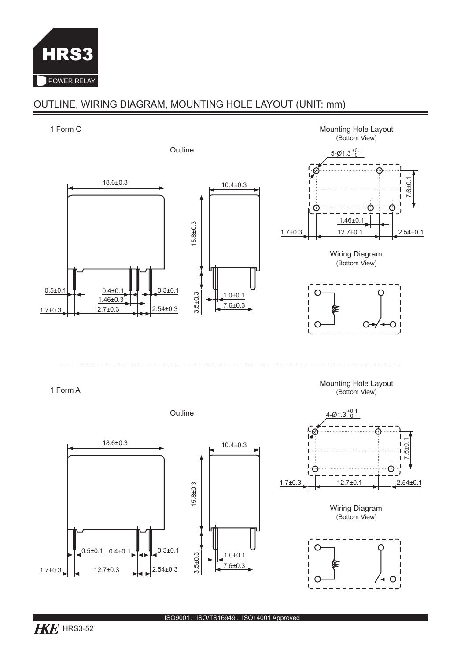

## OUTLINE, WIRING DIAGRAM, MOUNTING HOLE LAYOUT (UNIT: mm)

### 1 Form C Mounting Hole Layout (Bottom View) Outline  $5 - \cancel{0}1.3_{0}^{+0.1}$ 18.6±0.3  $6 ± 0.1$ 10.4±0.3 റ  $\sim$  0. റ 1.46±0.1 15.8±0.3  $1.7\pm0.3$   $1.7\pm0.1$   $2.54\pm0.1$ Wiring Diagram (Bottom View) 0.5 $\pm$ 0.1  $\parallel$  0.4 $\pm$ 0.1  $\parallel$   $\parallel$   $\parallel$  0.3 $\pm$ 0.1 3.5±0.3 C  $1.0±0.1$  $1.46 \pm 0.3$ 7.6±0.3  $1.7\pm0.3$   $12.7\pm0.3$   $2.54\pm0.3$  $\epsilon$  $\Omega$ ∩ Mounting Hole Layout (Bottom View) 1 Form A Outline <u>4-Ø1.3  $^{+0.1}_{-0}$ </u> Ċ 18.6±0.3  $\begin{bmatrix} 1 & 1 & 1 \\ 1 & 1 & 1 \\ 1 & 1 & 1 \\ 1.7\pm 0.3 & 1 \end{bmatrix}$   $\begin{bmatrix} 1 & 1 & 1 \\ 1 & 1 & 1 \\ 1 & 1 & 1 \\ 1 & 1 & 1 \end{bmatrix}$   $\begin{bmatrix} 1 & 1 & 1 \\ 1 & 1 & 1 \\ 1 & 1 & 1 \end{bmatrix}$   $\begin{bmatrix} 1 & 1 & 1 \\ 1 & 1 & 1 \\ 1 & 1 & 1 \end{bmatrix}$   $\begin{bmatrix} 1 & 1 & 1 \\ 1 & 1 & 1 \\ 1 & 1 & 1 \$ 10.4±0.3 15.8±0.3 Wiring Diagram

(Bottom View)





1.0±0.1 7.6±0.3

3.5±0.3

 $0.5\pm0.1$   $0.4\pm0.1$   $1.4$   $0.3\pm0.1$ 

 $1.7\pm0.3$   $12.7\pm0.3$   $2.54\pm0.3$